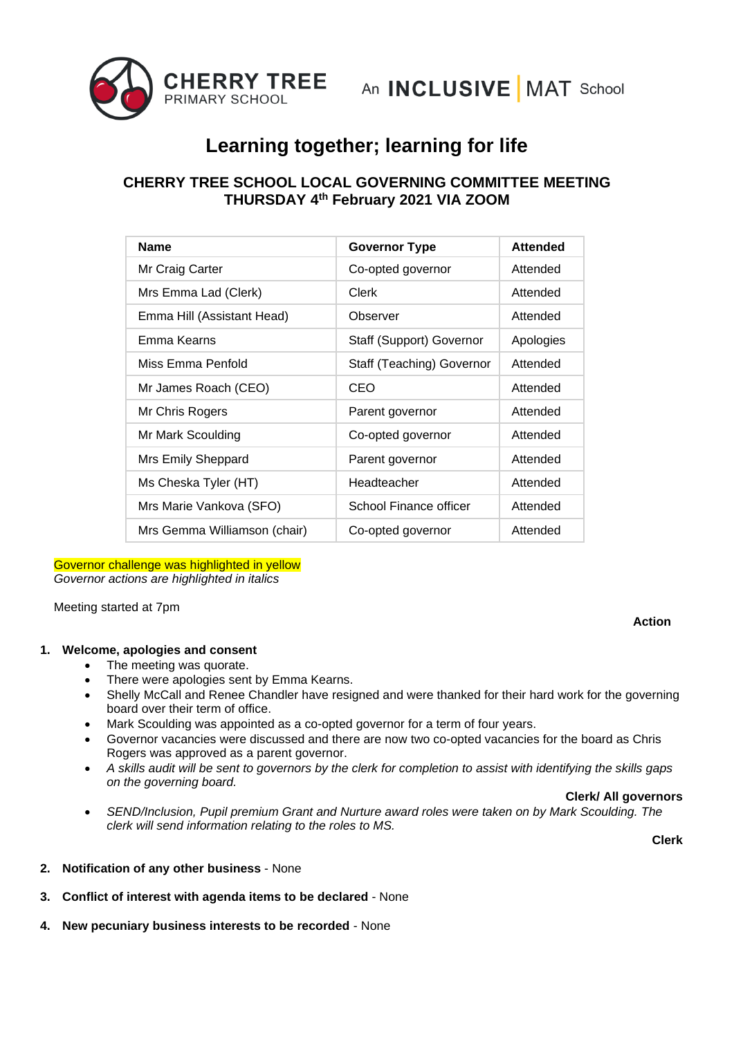

# **Learning together; learning for life**

# **CHERRY TREE SCHOOL LOCAL GOVERNING COMMITTEE MEETING THURSDAY 4 th February 2021 VIA ZOOM**

| <b>Name</b>                  | <b>Governor Type</b>      | <b>Attended</b> |
|------------------------------|---------------------------|-----------------|
| Mr Craig Carter              | Co-opted governor         | Attended        |
| Mrs Emma Lad (Clerk)         | Clerk                     | Attended        |
| Emma Hill (Assistant Head)   | Observer                  | Attended        |
| Emma Kearns                  | Staff (Support) Governor  | Apologies       |
| Miss Emma Penfold            | Staff (Teaching) Governor | Attended        |
| Mr James Roach (CEO)         | CEO                       | Attended        |
| Mr Chris Rogers              | Parent governor           | Attended        |
| Mr Mark Scoulding            | Co-opted governor         | Attended        |
| Mrs Emily Sheppard           | Parent governor           | Attended        |
| Ms Cheska Tyler (HT)         | Headteacher               | Attended        |
| Mrs Marie Vankova (SFO)      | School Finance officer    | Attended        |
| Mrs Gemma Williamson (chair) | Co-opted governor         | Attended        |

# Governor challenge was highlighted in yellow

*Governor actions are highlighted in italics*

Meeting started at 7pm

# **Action**

# **1. Welcome, apologies and consent**

- The meeting was quorate.
- There were apologies sent by Emma Kearns.
- Shelly McCall and Renee Chandler have resigned and were thanked for their hard work for the governing board over their term of office.
- Mark Scoulding was appointed as a co-opted governor for a term of four years.
- Governor vacancies were discussed and there are now two co-opted vacancies for the board as Chris Rogers was approved as a parent governor.
- *A skills audit will be sent to governors by the clerk for completion to assist with identifying the skills gaps on the governing board.*

#### **Clerk/ All governors**

• *SEND/Inclusion, Pupil premium Grant and Nurture award roles were taken on by Mark Scoulding. The clerk will send information relating to the roles to MS.*

**Clerk**

- **2. Notification of any other business**  None
- **3. Conflict of interest with agenda items to be declared** None
- **4. New pecuniary business interests to be recorded** None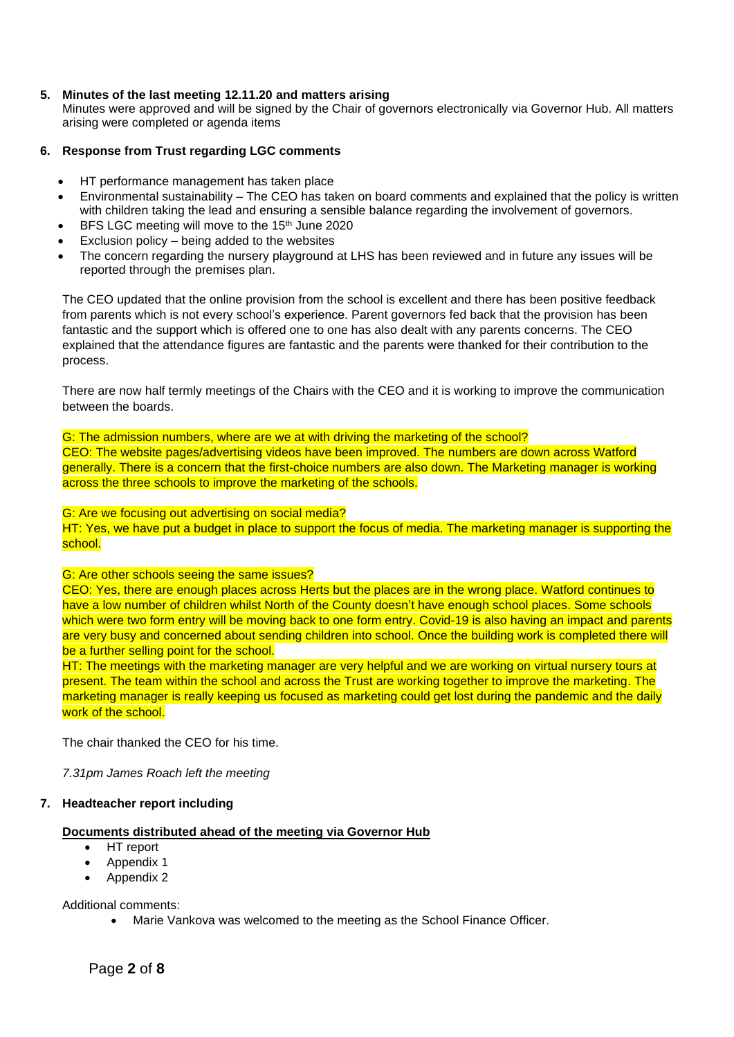# **5. Minutes of the last meeting 12.11.20 and matters arising**

Minutes were approved and will be signed by the Chair of governors electronically via Governor Hub. All matters arising were completed or agenda items

# **6. Response from Trust regarding LGC comments**

- HT performance management has taken place
- Environmental sustainability The CEO has taken on board comments and explained that the policy is written with children taking the lead and ensuring a sensible balance regarding the involvement of governors.
- BFS LGC meeting will move to the 15<sup>th</sup> June 2020
- Exclusion policy  $-$  being added to the websites
- The concern regarding the nursery playground at LHS has been reviewed and in future any issues will be reported through the premises plan.

The CEO updated that the online provision from the school is excellent and there has been positive feedback from parents which is not every school's experience. Parent governors fed back that the provision has been fantastic and the support which is offered one to one has also dealt with any parents concerns. The CEO explained that the attendance figures are fantastic and the parents were thanked for their contribution to the process.

There are now half termly meetings of the Chairs with the CEO and it is working to improve the communication between the boards.

G: The admission numbers, where are we at with driving the marketing of the school? CEO: The website pages/advertising videos have been improved. The numbers are down across Watford generally. There is a concern that the first-choice numbers are also down. The Marketing manager is working across the three schools to improve the marketing of the schools.

#### G: Are we focusing out advertising on social media?

HT: Yes, we have put a budget in place to support the focus of media. The marketing manager is supporting the school.

# G: Are other schools seeing the same issues?

CEO: Yes, there are enough places across Herts but the places are in the wrong place. Watford continues to have a low number of children whilst North of the County doesn't have enough school places. Some schools which were two form entry will be moving back to one form entry. Covid-19 is also having an impact and parents are very busy and concerned about sending children into school. Once the building work is completed there will be a further selling point for the school.

HT: The meetings with the marketing manager are very helpful and we are working on virtual nursery tours at present. The team within the school and across the Trust are working together to improve the marketing. The marketing manager is really keeping us focused as marketing could get lost during the pandemic and the daily work of the school.

The chair thanked the CEO for his time.

*7.31pm James Roach left the meeting*

# **7. Headteacher report including**

# **Documents distributed ahead of the meeting via Governor Hub**

- HT report
- Appendix 1
- Appendix 2

Additional comments:

• Marie Vankova was welcomed to the meeting as the School Finance Officer.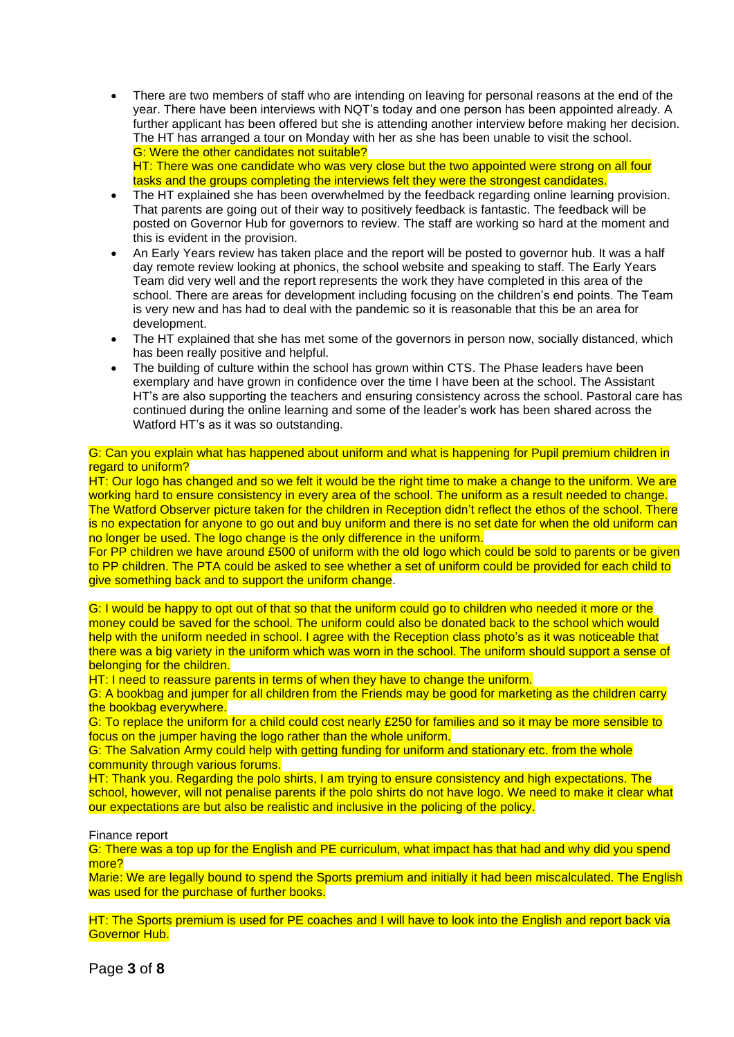- There are two members of staff who are intending on leaving for personal reasons at the end of the year. There have been interviews with NQT's today and one person has been appointed already. A further applicant has been offered but she is attending another interview before making her decision. The HT has arranged a tour on Monday with her as she has been unable to visit the school. G: Were the other candidates not suitable? HT: There was one candidate who was very close but the two appointed were strong on all four tasks and the groups completing the interviews felt they were the strongest candidates.
- The HT explained she has been overwhelmed by the feedback regarding online learning provision. That parents are going out of their way to positively feedback is fantastic. The feedback will be posted on Governor Hub for governors to review. The staff are working so hard at the moment and this is evident in the provision.
- An Early Years review has taken place and the report will be posted to governor hub. It was a half day remote review looking at phonics, the school website and speaking to staff. The Early Years Team did very well and the report represents the work they have completed in this area of the school. There are areas for development including focusing on the children's end points. The Team is very new and has had to deal with the pandemic so it is reasonable that this be an area for development.
- The HT explained that she has met some of the governors in person now, socially distanced, which has been really positive and helpful.
- The building of culture within the school has grown within CTS. The Phase leaders have been exemplary and have grown in confidence over the time I have been at the school. The Assistant HT's are also supporting the teachers and ensuring consistency across the school. Pastoral care has continued during the online learning and some of the leader's work has been shared across the Watford HT's as it was so outstanding.

#### G: Can you explain what has happened about uniform and what is happening for Pupil premium children in regard to uniform?

HT: Our logo has changed and so we felt it would be the right time to make a change to the uniform. We are working hard to ensure consistency in every area of the school. The uniform as a result needed to change. The Watford Observer picture taken for the children in Reception didn't reflect the ethos of the school. There is no expectation for anyone to go out and buy uniform and there is no set date for when the old uniform can no longer be used. The logo change is the only difference in the uniform.

For PP children we have around £500 of uniform with the old logo which could be sold to parents or be given to PP children. The PTA could be asked to see whether a set of uniform could be provided for each child to give something back and to support the uniform change.

G: I would be happy to opt out of that so that the uniform could go to children who needed it more or the money could be saved for the school. The uniform could also be donated back to the school which would help with the uniform needed in school. I agree with the Reception class photo's as it was noticeable that there was a big variety in the uniform which was worn in the school. The uniform should support a sense of belonging for the children.

HT: I need to reassure parents in terms of when they have to change the uniform.

G: A bookbag and jumper for all children from the Friends may be good for marketing as the children carry the bookbag everywhere.

G: To replace the uniform for a child could cost nearly £250 for families and so it may be more sensible to focus on the jumper having the logo rather than the whole uniform.

G: The Salvation Army could help with getting funding for uniform and stationary etc. from the whole community through various forums.

HT: Thank you. Regarding the polo shirts, I am trying to ensure consistency and high expectations. The school, however, will not penalise parents if the polo shirts do not have logo. We need to make it clear what our expectations are but also be realistic and inclusive in the policing of the policy.

# Finance report

G: There was a top up for the English and PE curriculum, what impact has that had and why did you spend more?

Marie: We are legally bound to spend the Sports premium and initially it had been miscalculated. The English was used for the purchase of further books.

HT: The Sports premium is used for PE coaches and I will have to look into the English and report back via Governor Hub.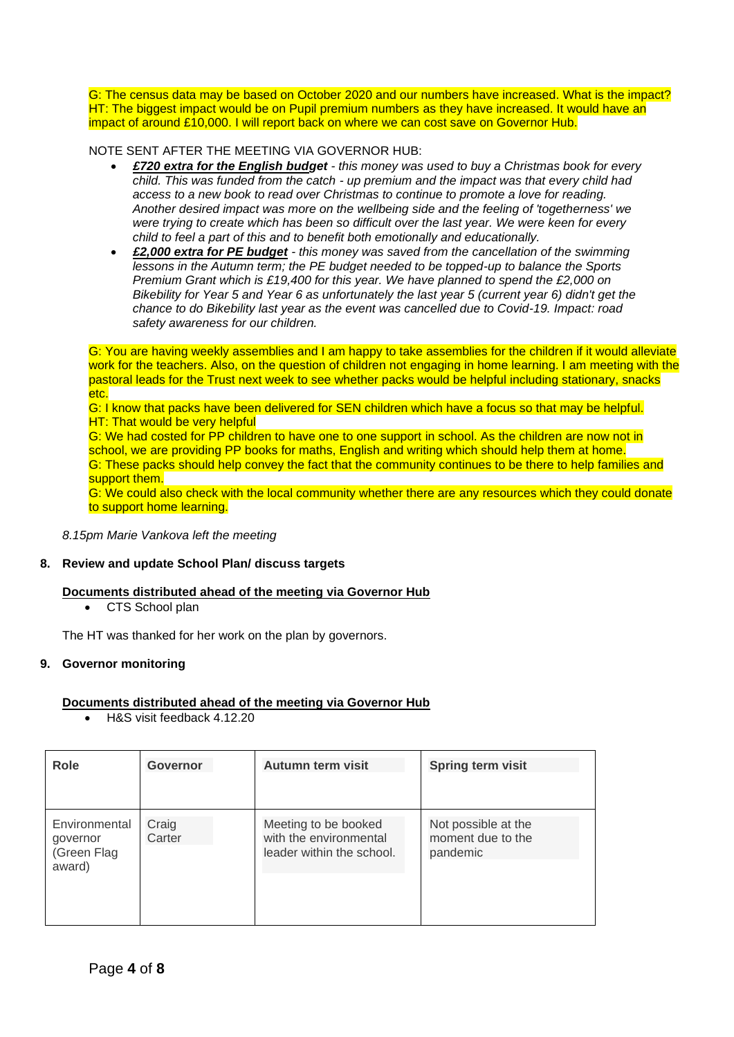G: The census data may be based on October 2020 and our numbers have increased. What is the impact? HT: The biggest impact would be on Pupil premium numbers as they have increased. It would have an impact of around £10,000. I will report back on where we can cost save on Governor Hub.

NOTE SENT AFTER THE MEETING VIA GOVERNOR HUB:

- *£720 extra for the English budget - this money was used to buy a Christmas book for every child. This was funded from the catch - up premium and the impact was that every child had access to a new book to read over Christmas to continue to promote a love for reading. Another desired impact was more on the wellbeing side and the feeling of 'togetherness' we were trying to create which has been so difficult over the last year. We were keen for every child to feel a part of this and to benefit both emotionally and educationally.*
- *£2,000 extra for PE budget - this money was saved from the cancellation of the swimming lessons in the Autumn term; the PE budget needed to be topped-up to balance the Sports Premium Grant which is £19,400 for this year. We have planned to spend the £2,000 on Bikebility for Year 5 and Year 6 as unfortunately the last year 5 (current year 6) didn't get the chance to do Bikebility last year as the event was cancelled due to Covid-19. Impact: road safety awareness for our children.*

G: You are having weekly assemblies and I am happy to take assemblies for the children if it would alleviate work for the teachers. Also, on the question of children not engaging in home learning. I am meeting with the pastoral leads for the Trust next week to see whether packs would be helpful including stationary, snacks etc.

G: I know that packs have been delivered for SEN children which have a focus so that may be helpful. **HT: That would be very helpful** 

G: We had costed for PP children to have one to one support in school. As the children are now not in school, we are providing PP books for maths, English and writing which should help them at home. G: These packs should help convey the fact that the community continues to be there to help families and support them.

G: We could also check with the local community whether there are any resources which they could donate to support home learning.

*8.15pm Marie Vankova left the meeting*

# **8. Review and update School Plan/ discuss targets**

# **Documents distributed ahead of the meeting via Governor Hub**

• CTS School plan

The HT was thanked for her work on the plan by governors.

#### **9. Governor monitoring**

#### **Documents distributed ahead of the meeting via Governor Hub**

• H&S visit feedback 4.12.20

| Role                                               | <b>Governor</b> | Autumn term visit                                                           | <b>Spring term visit</b>                             |
|----------------------------------------------------|-----------------|-----------------------------------------------------------------------------|------------------------------------------------------|
| Environmental<br>governor<br>(Green Flag<br>award) | Craig<br>Carter | Meeting to be booked<br>with the environmental<br>leader within the school. | Not possible at the<br>moment due to the<br>pandemic |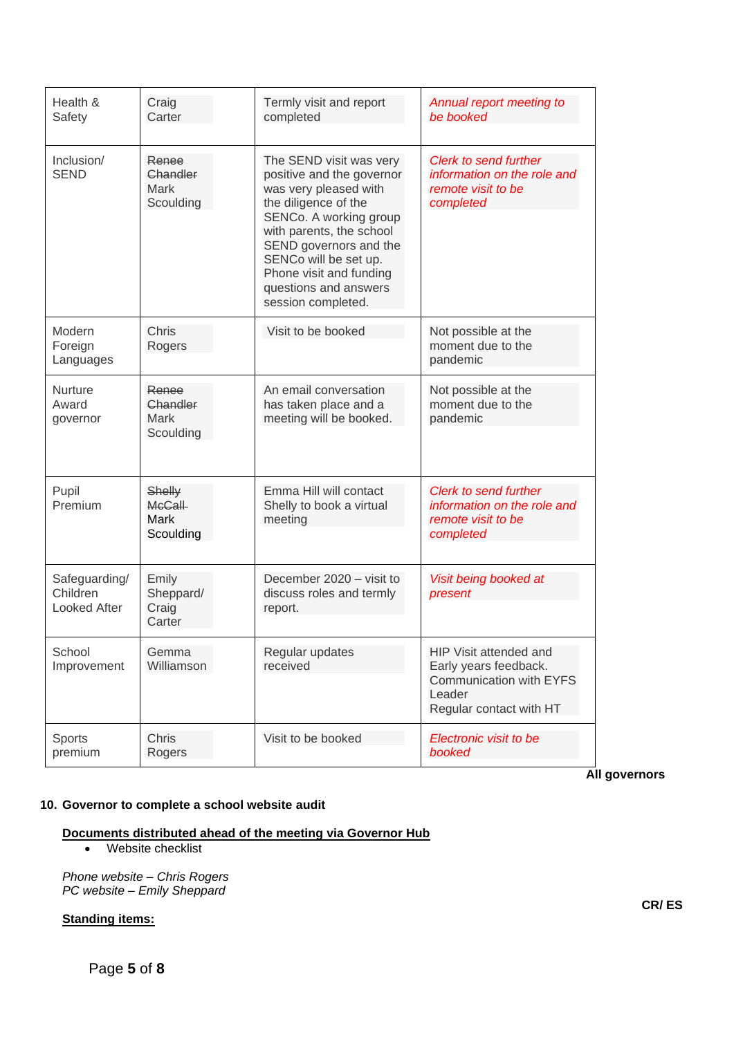| Health &<br>Safety                        | Craig<br>Carter                                     | Termly visit and report<br>completed                                                                                                                                                                                                                                                     | Annual report meeting to<br>be booked                                                                           |
|-------------------------------------------|-----------------------------------------------------|------------------------------------------------------------------------------------------------------------------------------------------------------------------------------------------------------------------------------------------------------------------------------------------|-----------------------------------------------------------------------------------------------------------------|
| Inclusion/<br><b>SEND</b>                 | Renee<br>Chandler<br>Mark<br>Scoulding              | The SEND visit was very<br>positive and the governor<br>was very pleased with<br>the diligence of the<br>SENCo. A working group<br>with parents, the school<br>SEND governors and the<br>SENCo will be set up.<br>Phone visit and funding<br>questions and answers<br>session completed. | <b>Clerk to send further</b><br>information on the role and<br>remote visit to be<br>completed                  |
| Modern<br>Foreign<br>Languages            | Chris<br>Rogers                                     | Visit to be booked                                                                                                                                                                                                                                                                       | Not possible at the<br>moment due to the<br>pandemic                                                            |
| <b>Nurture</b><br>Award<br>governor       | Renee<br>Chandler<br>Mark<br>Scoulding              | An email conversation<br>has taken place and a<br>meeting will be booked.                                                                                                                                                                                                                | Not possible at the<br>moment due to the<br>pandemic                                                            |
| Pupil<br>Premium                          | Shelly<br><b>McCall</b><br><b>Mark</b><br>Scoulding | Emma Hill will contact<br>Shelly to book a virtual<br>meeting                                                                                                                                                                                                                            | Clerk to send further<br>information on the role and<br>remote visit to be<br>completed                         |
| Safeguarding/<br>Children<br>Looked After | Emily<br>Sheppard/<br>Craig<br>Carter               | December 2020 - visit to<br>discuss roles and termly<br>report.                                                                                                                                                                                                                          | Visit being booked at<br>present                                                                                |
| School<br>Improvement                     | Gemma<br>Williamson                                 | Regular updates<br>received                                                                                                                                                                                                                                                              | HIP Visit attended and<br>Early years feedback.<br>Communication with EYFS<br>Leader<br>Regular contact with HT |
| Sports<br>premium                         | Chris<br>Rogers                                     | Visit to be booked                                                                                                                                                                                                                                                                       | Electronic visit to be<br>booked                                                                                |

**All governors**

# **10. Governor to complete a school website audit**

#### **Documents distributed ahead of the meeting via Governor Hub**

• Website checklist

*Phone website – Chris Rogers PC website – Emily Sheppard*

# **Standing items:**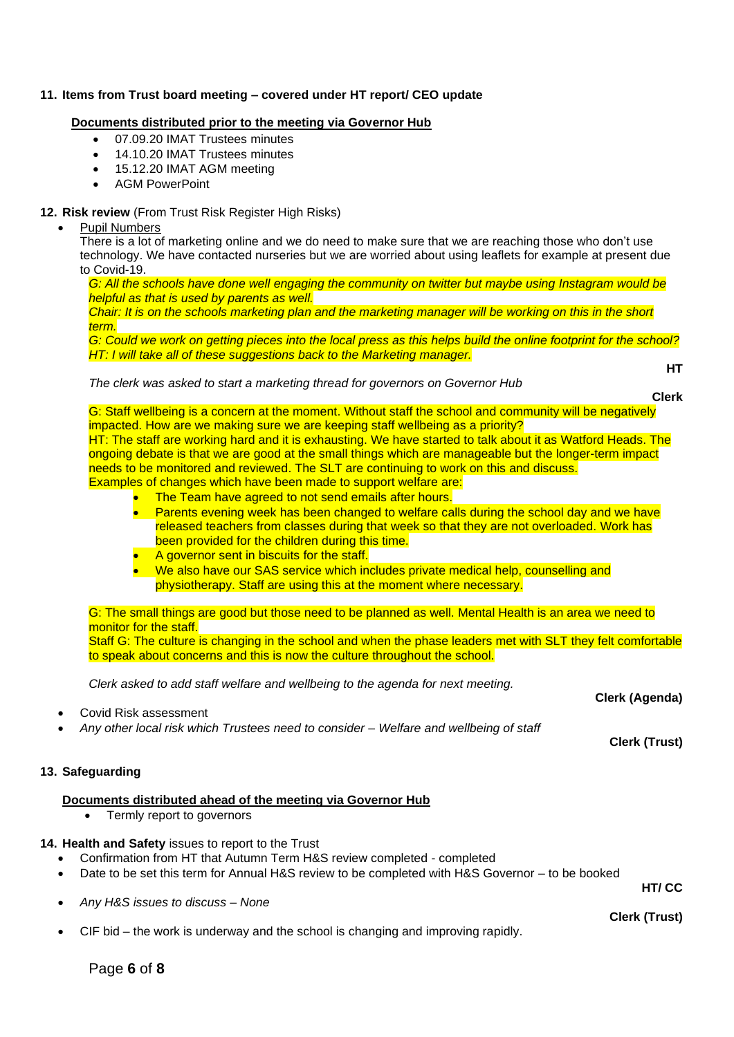# **11. Items from Trust board meeting – covered under HT report/ CEO update**

#### **Documents distributed prior to the meeting via Governor Hub**

- 07.09.20 IMAT Trustees minutes
- 14.10.20 IMAT Trustees minutes
- 15.12.20 IMAT AGM meeting
- AGM PowerPoint

#### **12. Risk review** (From Trust Risk Register High Risks)

#### Pupil Numbers

There is a lot of marketing online and we do need to make sure that we are reaching those who don't use technology. We have contacted nurseries but we are worried about using leaflets for example at present due to Covid-19.

*G: All the schools have done well engaging the community on twitter but maybe using Instagram would be helpful as that is used by parents as well.* 

*Chair: It is on the schools marketing plan and the marketing manager will be working on this in the short term.* 

*G: Could we work on getting pieces into the local press as this helps build the online footprint for the school? HT: I will take all of these suggestions back to the Marketing manager.* 

*The clerk was asked to start a marketing thread for governors on Governor Hub*

**HT**

**Clerk**

G: Staff wellbeing is a concern at the moment. Without staff the school and community will be negatively impacted. How are we making sure we are keeping staff wellbeing as a priority? HT: The staff are working hard and it is exhausting. We have started to talk about it as Watford Heads. The ongoing debate is that we are good at the small things which are manageable but the longer-term impact

needs to be monitored and reviewed. The SLT are continuing to work on this and discuss. Examples of changes which have been made to support welfare are:

- **The Team have agreed to not send emails after hours.** 
	- Parents evening week has been changed to welfare calls during the school day and we have released teachers from classes during that week so that they are not overloaded. Work has been provided for the children during this time.
- A governor sent in biscuits for the staff.
- We also have our SAS service which includes private medical help, counselling and physiotherapy. Staff are using this at the moment where necessary.

G: The small things are good but those need to be planned as well. Mental Health is an area we need to monitor for the staff.

Staff G: The culture is changing in the school and when the phase leaders met with SLT they felt comfortable to speak about concerns and this is now the culture throughout the school.

*Clerk asked to add staff welfare and wellbeing to the agenda for next meeting.* 

- Covid Risk assessment
- *Any other local risk which Trustees need to consider – Welfare and wellbeing of staff*

# **13. Safeguarding**

# **Documents distributed ahead of the meeting via Governor Hub**

• Termly report to governors

# **14. Health and Safety** issues to report to the Trust

- Confirmation from HT that Autumn Term H&S review completed completed
- Date to be set this term for Annual H&S review to be completed with H&S Governor to be booked

• *Any H&S issues to discuss – None*

• CIF bid – the work is underway and the school is changing and improving rapidly.

**Clerk (Trust)**

**Clerk (Agenda)**

**HT/ CC**

**Clerk (Trust)**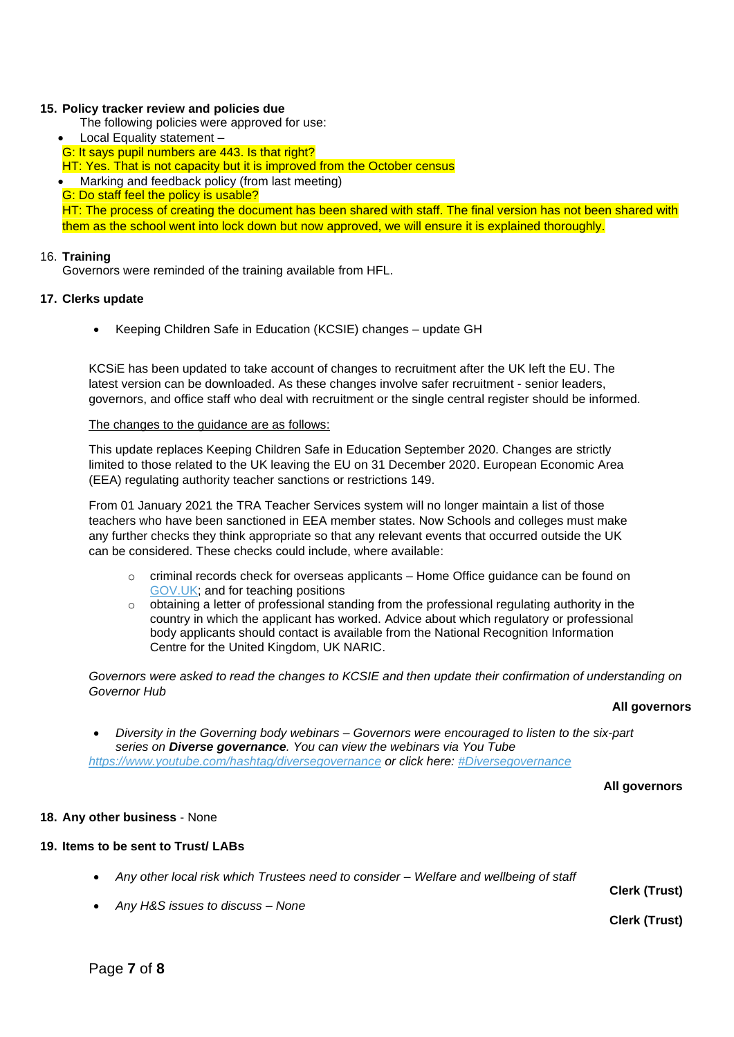#### **15. Policy tracker review and policies due**

- The following policies were approved for use:
- Local Equality statement –
- G: It says pupil numbers are 443. Is that right?

HT: Yes. That is not capacity but it is improved from the October census

• Marking and feedback policy (from last meeting)

G: Do staff feel the policy is usable?

HT: The process of creating the document has been shared with staff. The final version has not been shared with them as the school went into lock down but now approved, we will ensure it is explained thoroughly.

#### 16. **Training**

Governors were reminded of the training available from HFL.

#### **17. Clerks update**

• Keeping Children Safe in Education (KCSIE) changes – update GH

KCSiE has been updated to take account of changes to recruitment after the UK left the EU. The latest version can be downloaded. As these changes involve safer recruitment - senior leaders, governors, and office staff who deal with recruitment or the single central register should be informed.

#### The changes to the guidance are as follows:

This update replaces Keeping Children Safe in Education September 2020. Changes are strictly limited to those related to the UK leaving the EU on 31 December 2020. European Economic Area (EEA) regulating authority teacher sanctions or restrictions 149.

From 01 January 2021 the TRA Teacher Services system will no longer maintain a list of those teachers who have been sanctioned in EEA member states. Now Schools and colleges must make any further checks they think appropriate so that any relevant events that occurred outside the UK can be considered. These checks could include, where available:

- $\circ$  criminal records check for overseas applicants Home Office guidance can be found on [GOV.UK;](http://gov.uk/) and for teaching positions
- $\circ$  obtaining a letter of professional standing from the professional regulating authority in the country in which the applicant has worked. Advice about which regulatory or professional body applicants should contact is available from the National Recognition Information Centre for the United Kingdom, UK NARIC.

*Governors were asked to read the changes to KCSIE and then update their confirmation of understanding on Governor Hub*

#### **All governors**

• *Diversity in the Governing body webinars – Governors were encouraged to listen to the six-part series on Diverse governance. You can view the webinars via You Tube <https://www.youtube.com/hashtag/diversegovernance> or click here: [#Diversegovernance](https://www.youtube.com/hashtag/diversegovernance)*

**All governors**

# **18. Any other business** - None

#### **19. Items to be sent to Trust/ LABs**

• *Any other local risk which Trustees need to consider – Welfare and wellbeing of staff*

**Clerk (Trust)**

**Clerk (Trust)**

• *Any H&S issues to discuss – None*